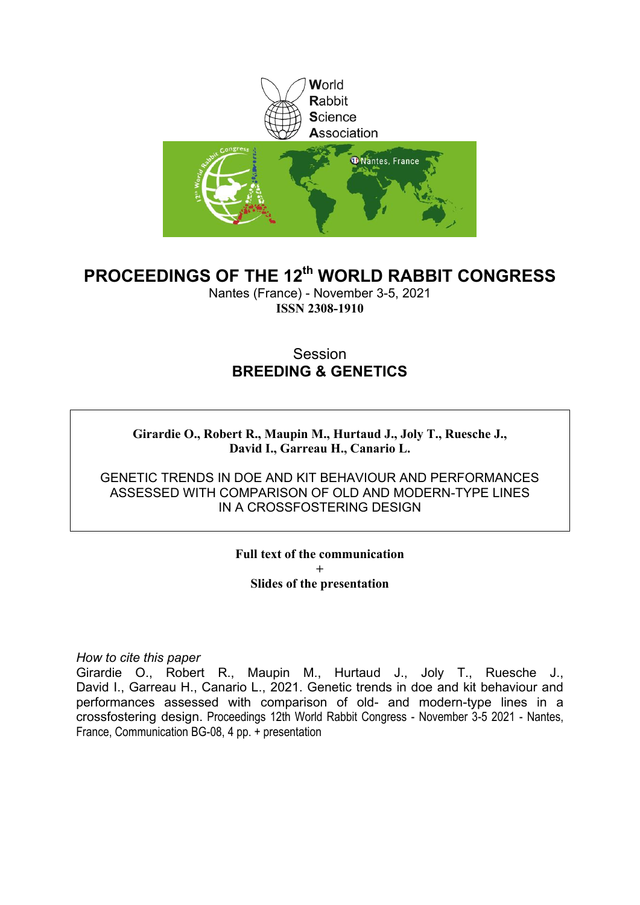

### **PROCEEDINGS OF THE 12th WORLD RABBIT CONGRESS**

Nantes (France) - November 3-5, 2021 **ISSN 2308-1910**

### Session **BREEDING & GENETICS**

**Girardie O., Robert R., Maupin M., Hurtaud J., Joly T., Ruesche J., David I., Garreau H., Canario L.**

GENETIC TRENDS IN DOE AND KIT BEHAVIOUR AND PERFORMANCES ASSESSED WITH COMPARISON OF OLD AND MODERN-TYPE LINES IN A CROSSFOSTERING DESIGN

> **Full text of the communication + Slides of the presentation**

*How to cite this paper*

Girardie O., Robert R., Maupin M., Hurtaud J., Joly T., Ruesche J., David I., Garreau H., Canario L., 2021. Genetic trends in doe and kit behaviour and performances assessed with comparison of old- and modern-type lines in a crossfostering design. Proceedings 12th World Rabbit Congress - November 3-5 2021 - Nantes, France, Communication BG-08, 4 pp. + presentation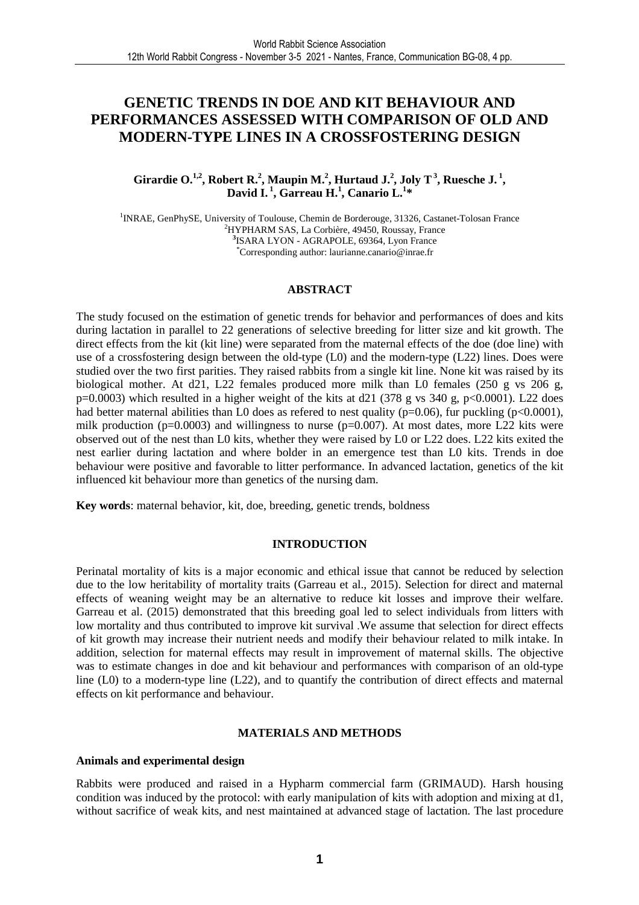### **GENETIC TRENDS IN DOE AND KIT BEHAVIOUR AND PERFORMANCES ASSESSED WITH COMPARISON OF OLD AND MODERN-TYPE LINES IN A CROSSFOSTERING DESIGN**

**Girardie O.**<sup>1,2</sup>, Robert R.<sup>2</sup>, Maupin M.<sup>2</sup>, Hurtaud J.<sup>2</sup>, Joly T<sup>3</sup>, Ruesche J.<sup>1</sup>, **David I.<sup>1</sup>, Garreau H.<sup>1</sup> , Canario L.<sup>1</sup> \***

<sup>1</sup> INRAE, GenPhySE, University of Toulouse, Chemin de Borderouge, 31326, Castanet-Tolosan France <sup>2</sup>HYPHARM SAS, La Corbière, 49450, Roussay, France **3** ISARA LYON - AGRAPOLE, 69364, Lyon France \*Corresponding author: laurianne.canario@inrae.fr

#### **ABSTRACT**

The study focused on the estimation of genetic trends for behavior and performances of does and kits during lactation in parallel to 22 generations of selective breeding for litter size and kit growth. The direct effects from the kit (kit line) were separated from the maternal effects of the doe (doe line) with use of a crossfostering design between the old-type (L0) and the modern-type (L22) lines. Does were studied over the two first parities. They raised rabbits from a single kit line. None kit was raised by its biological mother. At d21, L22 females produced more milk than L0 females (250 g vs 206 g,  $p=0.0003$ ) which resulted in a higher weight of the kits at d21 (378 g vs 340 g, p<0.0001). L22 does had better maternal abilities than L0 does as refered to nest quality ( $p=0.06$ ), fur puckling ( $p<0.0001$ ), milk production ( $p=0.0003$ ) and willingness to nurse ( $p=0.007$ ). At most dates, more L22 kits were observed out of the nest than L0 kits, whether they were raised by L0 or L22 does. L22 kits exited the nest earlier during lactation and where bolder in an emergence test than L0 kits. Trends in doe behaviour were positive and favorable to litter performance. In advanced lactation, genetics of the kit influenced kit behaviour more than genetics of the nursing dam.

**Key words**: maternal behavior, kit, doe, breeding, genetic trends, boldness

#### **INTRODUCTION**

Perinatal mortality of kits is a major economic and ethical issue that cannot be reduced by selection due to the low heritability of mortality traits (Garreau et al., 2015). Selection for direct and maternal effects of weaning weight may be an alternative to reduce kit losses and improve their welfare. Garreau et al. (2015) demonstrated that this breeding goal led to select individuals from litters with low mortality and thus contributed to improve kit survival .We assume that selection for direct effects of kit growth may increase their nutrient needs and modify their behaviour related to milk intake. In addition, selection for maternal effects may result in improvement of maternal skills. The objective was to estimate changes in doe and kit behaviour and performances with comparison of an old-type line (L0) to a modern-type line (L22), and to quantify the contribution of direct effects and maternal effects on kit performance and behaviour.

#### **MATERIALS AND METHODS**

#### **Animals and experimental design**

Rabbits were produced and raised in a Hypharm commercial farm (GRIMAUD). Harsh housing condition was induced by the protocol: with early manipulation of kits with adoption and mixing at d1, without sacrifice of weak kits, and nest maintained at advanced stage of lactation. The last procedure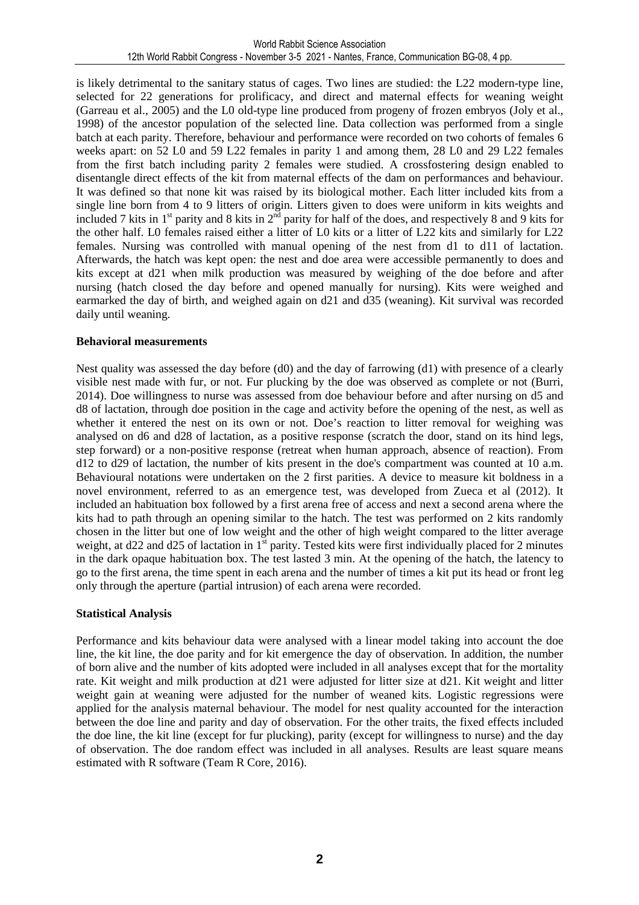is likely detrimental to the sanitary status of cages. Two lines are studied: the L22 modern-type line, selected for 22 generations for prolificacy, and direct and maternal effects for weaning weight (Garreau et al., 2005) and the L0 old-type line produced from progeny of frozen embryos (Joly et al., 1998) of the ancestor population of the selected line. Data collection was performed from a single batch at each parity. Therefore, behaviour and performance were recorded on two cohorts of females 6 weeks apart: on 52 L0 and 59 L22 females in parity 1 and among them, 28 L0 and 29 L22 females from the first batch including parity 2 females were studied. A crossfostering design enabled to disentangle direct effects of the kit from maternal effects of the dam on performances and behaviour. It was defined so that none kit was raised by its biological mother. Each litter included kits from a single line born from 4 to 9 litters of origin. Litters given to does were uniform in kits weights and included 7 kits in  $1<sup>st</sup>$  parity and 8 kits in  $2<sup>nd</sup>$  parity for half of the does, and respectively 8 and 9 kits for the other half. L0 females raised either a litter of L0 kits or a litter of L22 kits and similarly for L22 females. Nursing was controlled with manual opening of the nest from d1 to d11 of lactation. Afterwards, the hatch was kept open: the nest and doe area were accessible permanently to does and kits except at d21 when milk production was measured by weighing of the doe before and after nursing (hatch closed the day before and opened manually for nursing). Kits were weighed and earmarked the day of birth, and weighed again on d21 and d35 (weaning). Kit survival was recorded daily until weaning.

### **Behavioral measurements**

Nest quality was assessed the day before (d0) and the day of farrowing (d1) with presence of a clearly visible nest made with fur, or not. Fur plucking by the doe was observed as complete or not (Burri, 2014). Doe willingness to nurse was assessed from doe behaviour before and after nursing on d5 and d8 of lactation, through doe position in the cage and activity before the opening of the nest, as well as whether it entered the nest on its own or not. Doe's reaction to litter removal for weighing was analysed on d6 and d28 of lactation, as a positive response (scratch the door, stand on its hind legs, step forward) or a non-positive response (retreat when human approach, absence of reaction). From d12 to d29 of lactation, the number of kits present in the doe's compartment was counted at 10 a.m. Behavioural notations were undertaken on the 2 first parities. A device to measure kit boldness in a novel environment, referred to as an emergence test, was developed from Zueca et al (2012). It included an habituation box followed by a first arena free of access and next a second arena where the kits had to path through an opening similar to the hatch. The test was performed on 2 kits randomly chosen in the litter but one of low weight and the other of high weight compared to the litter average weight, at d22 and d25 of lactation in  $1<sup>st</sup>$  parity. Tested kits were first individually placed for 2 minutes in the dark opaque habituation box. The test lasted 3 min. At the opening of the hatch, the latency to go to the first arena, the time spent in each arena and the number of times a kit put its head or front leg only through the aperture (partial intrusion) of each arena were recorded.

### **Statistical Analysis**

Performance and kits behaviour data were analysed with a linear model taking into account the doe line, the kit line, the doe parity and for kit emergence the day of observation. In addition, the number of born alive and the number of kits adopted were included in all analyses except that for the mortality rate. Kit weight and milk production at d21 were adjusted for litter size at d21. Kit weight and litter weight gain at weaning were adjusted for the number of weaned kits. Logistic regressions were applied for the analysis maternal behaviour. The model for nest quality accounted for the interaction between the doe line and parity and day of observation. For the other traits, the fixed effects included the doe line, the kit line (except for fur plucking), parity (except for willingness to nurse) and the day of observation. The doe random effect was included in all analyses. Results are least square means estimated with R software (Team R Core, 2016).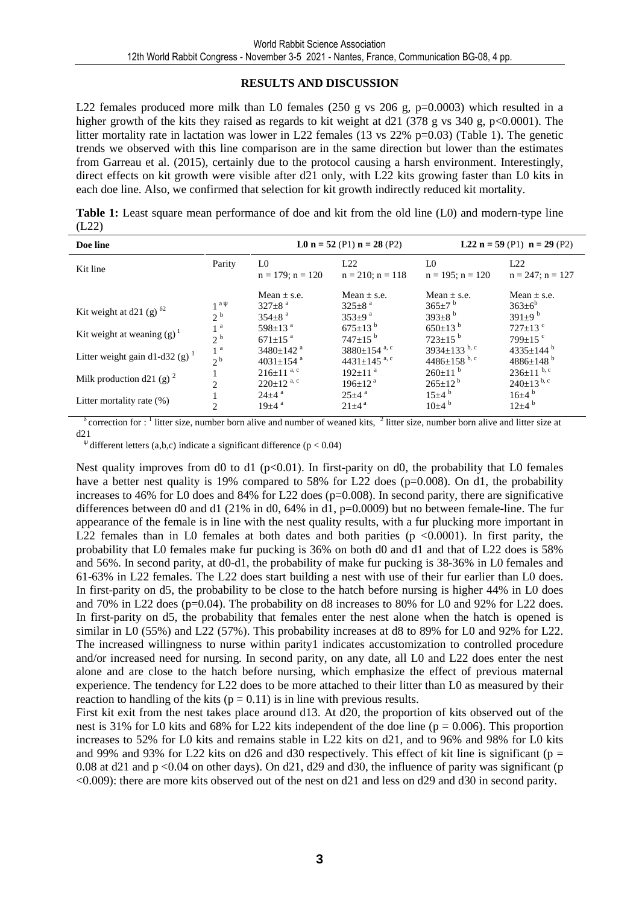### **RESULTS AND DISCUSSION**

L22 females produced more milk than L0 females (250 g vs 206 g,  $p=0.0003$ ) which resulted in a higher growth of the kits they raised as regards to kit weight at  $d21$  (378 g vs 340 g, p<0.0001). The litter mortality rate in lactation was lower in L22 females (13 vs 22% p=0.03) (Table 1). The genetic trends we observed with this line comparison are in the same direction but lower than the estimates from Garreau et al. (2015), certainly due to the protocol causing a harsh environment. Interestingly, direct effects on kit growth were visible after d21 only, with L22 kits growing faster than L0 kits in each doe line. Also, we confirmed that selection for kit growth indirectly reduced kit mortality.

**Table 1:** Least square mean performance of doe and kit from the old line (L0) and modern-type line (L22)

| Doe line                                                                        |                                                                   |                                                                                                                            | L0 $n = 52$ (P1) $n = 28$ (P2)                                                                                    | <b>L22</b> $n = 59$ (P1) $n = 29$ (P2)                                                                 |                                                                                                        |  |
|---------------------------------------------------------------------------------|-------------------------------------------------------------------|----------------------------------------------------------------------------------------------------------------------------|-------------------------------------------------------------------------------------------------------------------|--------------------------------------------------------------------------------------------------------|--------------------------------------------------------------------------------------------------------|--|
| Kit line                                                                        | Parity                                                            | L0<br>$n = 179$ ; $n = 120$                                                                                                | L22<br>$n = 210$ ; $n = 118$                                                                                      | L <sub>0</sub><br>$n = 195$ ; $n = 120$                                                                | L22<br>$n = 247$ ; $n = 127$                                                                           |  |
| Kit weight at d21 (g) $^{\delta 2}$<br>Kit weight at weaning $(g)$ <sup>1</sup> | $1^{a\psi}$<br>2 <sup>b</sup><br>1 <sup>a</sup><br>2 <sup>b</sup> | Mean $\pm$ s.e.<br>$327 \pm 8^{\circ}$<br>$354\pm8$ <sup>a</sup><br>598 $\pm$ 13 <sup>a</sup><br>$671 \pm 15$ <sup>a</sup> | Mean $\pm$ s.e.<br>$325 \pm 8$ <sup>a</sup><br>$353 \pm 9^{\text{a}}$<br>$675 \pm 13^{b}$<br>$747 \pm 15^{b}$     | Mean $\pm$ s.e.<br>$365 \pm 7^{b}$<br>393 $\pm$ 8 <sup>b</sup><br>$650 \pm 13^{b}$<br>$723 \pm 15^{b}$ | Mean $\pm$ s.e.<br>$363\pm6^b$<br>391 $\pm$ 9 <sup>b</sup><br>727 $\pm$ 13 <sup>c</sup><br>$799+15$ c  |  |
| Litter weight gain d1-d32 (g) $^1$<br>Milk production d21 (g) $^2$              | 1 <sup>a</sup><br>2 <sup>b</sup><br>$\mathfrak{D}$                | $3480 \pm 142$ <sup>a</sup><br>$4031 \pm 154$ <sup>a</sup><br>$216 \pm 11^{a, c}$<br>$220 \pm 12^{a,c}$                    | 3880 $\pm$ 154 <sup>a, c</sup><br>4431 $\pm$ 145 <sup>a, c</sup><br>$192 \pm 11$ <sup>a</sup><br>$196 \pm 12^{a}$ | 3934 $\pm$ 133 b, c<br>4486 $\pm$ 158 b, c<br>$260 \pm 11^{b}$<br>$265 \pm 12^{b}$                     | 4335 $\pm$ 144 <sup>b</sup><br>$4886\pm148$ <sup>b</sup><br>$236 \pm 11^{b, c}$<br>$240 \pm 13^{b, c}$ |  |
| Litter mortality rate $(\%)$                                                    | $\mathfrak{D}$                                                    | $24\pm4$ <sup>a</sup><br>$19+4$ <sup>a</sup>                                                                               | $25+4$ <sup>a</sup><br>$21 \pm 4^{a}$                                                                             | $15\pm4^{\circ}$<br>$10\pm4^{b}$                                                                       | $16\pm4^{b}$<br>$12\pm4^{b}$                                                                           |  |

 $\delta$  correction for : <sup>1</sup> litter size, number born alive and number of weaned kits, <sup>2</sup> litter size, number born alive and litter size at d21

 $\Psi$  different letters (a,b,c) indicate a significant difference (p < 0.04)

Nest quality improves from d0 to d1 ( $p<0.01$ ). In first-parity on d0, the probability that L0 females have a better nest quality is 19% compared to 58% for L22 does (p=0.008). On d1, the probability increases to 46% for L0 does and 84% for L22 does (p=0.008). In second parity, there are significative differences between d0 and d1 (21% in d0, 64% in d1, p=0.0009) but no between female-line. The fur appearance of the female is in line with the nest quality results, with a fur plucking more important in L22 females than in L0 females at both dates and both parities ( $p \lt 0.0001$ ). In first parity, the probability that L0 females make fur pucking is 36% on both d0 and d1 and that of L22 does is 58% and 56%. In second parity, at d0-d1, the probability of make fur pucking is 38-36% in L0 females and 61-63% in L22 females. The L22 does start building a nest with use of their fur earlier than L0 does. In first-parity on d5, the probability to be close to the hatch before nursing is higher 44% in L0 does and 70% in L22 does (p=0.04). The probability on d8 increases to 80% for L0 and 92% for L22 does. In first-parity on d5, the probability that females enter the nest alone when the hatch is opened is similar in L0 (55%) and L22 (57%). This probability increases at d8 to 89% for L0 and 92% for L22. The increased willingness to nurse within parity1 indicates accustomization to controlled procedure and/or increased need for nursing. In second parity, on any date, all L0 and L22 does enter the nest alone and are close to the hatch before nursing, which emphasize the effect of previous maternal experience. The tendency for L22 does to be more attached to their litter than L0 as measured by their reaction to handling of the kits ( $p = 0.11$ ) is in line with previous results.

First kit exit from the nest takes place around d13. At d20, the proportion of kits observed out of the nest is 31% for L0 kits and 68% for L22 kits independent of the doe line ( $p = 0.006$ ). This proportion increases to 52% for L0 kits and remains stable in L22 kits on d21, and to 96% and 98% for L0 kits and 99% and 93% for L22 kits on d26 and d30 respectively. This effect of kit line is significant ( $p =$ 0.08 at d21 and  $p < 0.04$  on other days). On d21, d29 and d30, the influence of parity was significant (p <0.009): there are more kits observed out of the nest on d21 and less on d29 and d30 in second parity.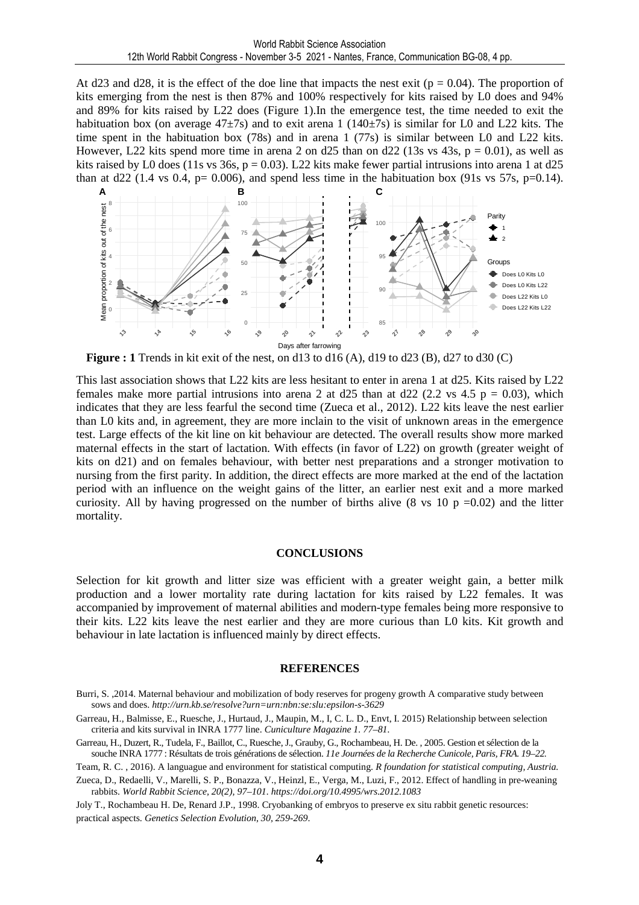At d23 and d28, it is the effect of the doe line that impacts the nest exit ( $p = 0.04$ ). The proportion of kits emerging from the nest is then 87% and 100% respectively for kits raised by L0 does and 94% and 89% for kits raised by L22 does (Figure 1).In the emergence test, the time needed to exit the habituation box (on average  $47\pm7s$ ) and to exit arena 1 (140 $\pm7s$ ) is similar for L0 and L22 kits. The time spent in the habituation box (78s) and in arena 1 (77s) is similar between L0 and L22 kits. However, L22 kits spend more time in arena 2 on d25 than on d22 (13s vs 43s,  $p = 0.01$ ), as well as kits raised by L0 does (11s vs 36s,  $p = 0.03$ ). L22 kits make fewer partial intrusions into arena 1 at d25 than at d22 (1.4 vs 0.4,  $p= 0.006$ ), and spend less time in the habituation box (91s vs 57s,  $p=0.14$ ).



**Figure : 1** Trends in kit exit of the nest, on d13 to d16 (A), d19 to d23 (B), d27 to d30 (C)

This last association shows that L22 kits are less hesitant to enter in arena 1 at d25. Kits raised by L22 females make more partial intrusions into arena 2 at  $d25$  than at  $d22$  (2.2 vs 4.5 p = 0.03), which indicates that they are less fearful the second time (Zueca et al., 2012). L22 kits leave the nest earlier than L0 kits and, in agreement, they are more inclain to the visit of unknown areas in the emergence test. Large effects of the kit line on kit behaviour are detected. The overall results show more marked maternal effects in the start of lactation. With effects (in favor of L22) on growth (greater weight of kits on d21) and on females behaviour, with better nest preparations and a stronger motivation to nursing from the first parity. In addition, the direct effects are more marked at the end of the lactation period with an influence on the weight gains of the litter, an earlier nest exit and a more marked curiosity. All by having progressed on the number of births alive (8 vs 10 p =0.02) and the litter mortality.

#### **CONCLUSIONS**

Selection for kit growth and litter size was efficient with a greater weight gain, a better milk production and a lower mortality rate during lactation for kits raised by L22 females. It was accompanied by improvement of maternal abilities and modern-type females being more responsive to their kits. L22 kits leave the nest earlier and they are more curious than L0 kits. Kit growth and behaviour in late lactation is influenced mainly by direct effects.

#### **REFERENCES**

Burri, S. ,2014. Maternal behaviour and mobilization of body reserves for progeny growth A comparative study between sows and does. *http://urn.kb.se/resolve?urn=urn:nbn:se:slu:epsilon-s-3629* 

Garreau, H., Balmisse, E., Ruesche, J., Hurtaud, J., Maupin, M., I, C. L. D., Envt, I. 2015) Relationship between selection criteria and kits survival in INRA 1777 line. *Cuniculture Magazine 1. 77–81.* 

Garreau, H., Duzert, R., Tudela, F., Baillot, C., Ruesche, J., Grauby, G., Rochambeau, H. De. , 2005. Gestion et sélection de la souche INRA 1777 : Résultats de trois générations de sélection. *11e Journées de la Recherche Cunicole, Paris, FRA. 19–22.* 

Team, R. C. , 2016). A languague and environment for statistical computing. *R foundation for statistical computing, Austria.*  Zueca, D., Redaelli, V., Marelli, S. P., Bonazza, V., Heinzl, E., Verga, M., Luzi, F., 2012. Effect of handling in pre-weaning rabbits. *World Rabbit Science, 20(2), 97–101. https://doi.org/10.4995/wrs.2012.1083* 

Joly T., Rochambeau H. De, Renard J.P., 1998. Cryobanking of embryos to preserve ex situ rabbit genetic resources: practical aspects. *Genetics Selection Evolution, 30, 259-269*.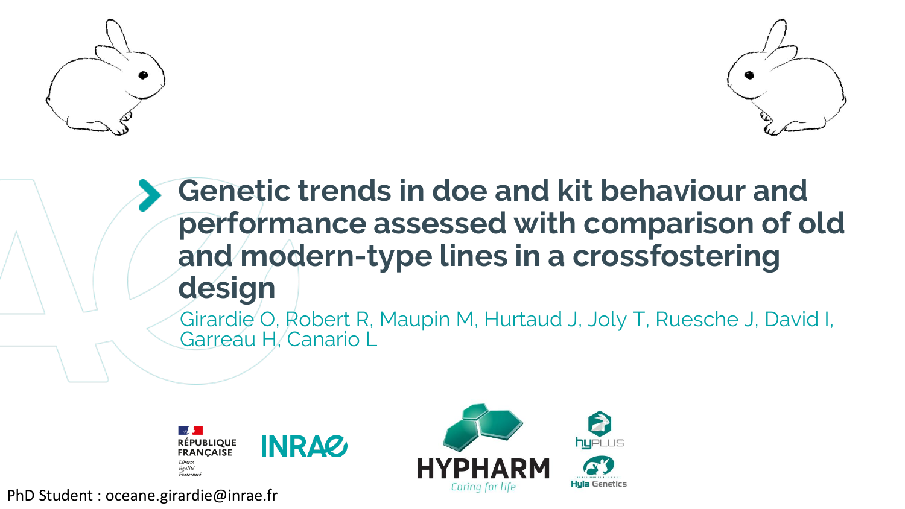



# **Genetic trends in doe and kit behaviour and performance assessed with comparison of old and modern-type lines in a crossfostering design**

Girardie O, Robert R, Maupin M, Hurtaud J, Joly T, Ruesche J, David I, Garreau H, Canario L





PhD Student : oceane.girardie@inrae.fr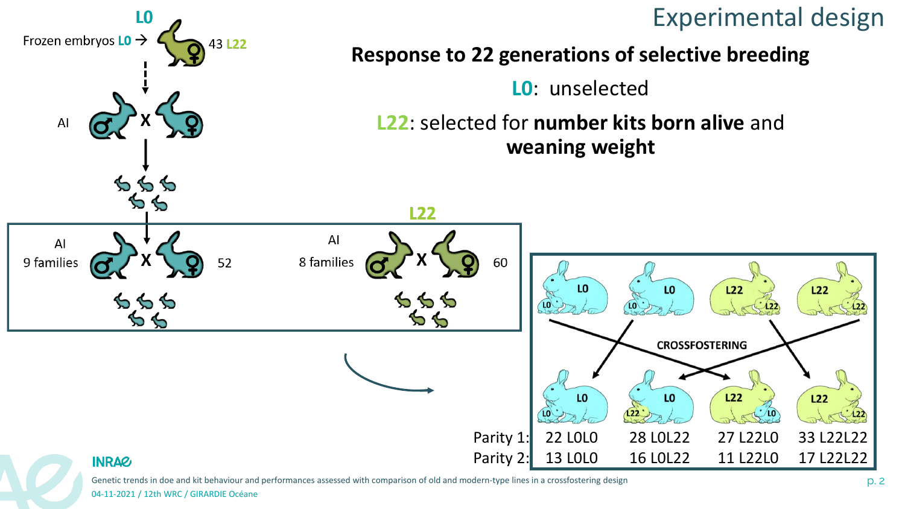

Genetic trends in doe and kit behaviour and performances assessed with comparison of old and modern-type lines in a crossfostering design p. 2 and the companies assessed with comparison of old and modern-type lines in a cr

04-11-2021 / 12th WRC / GIRARDIE Océane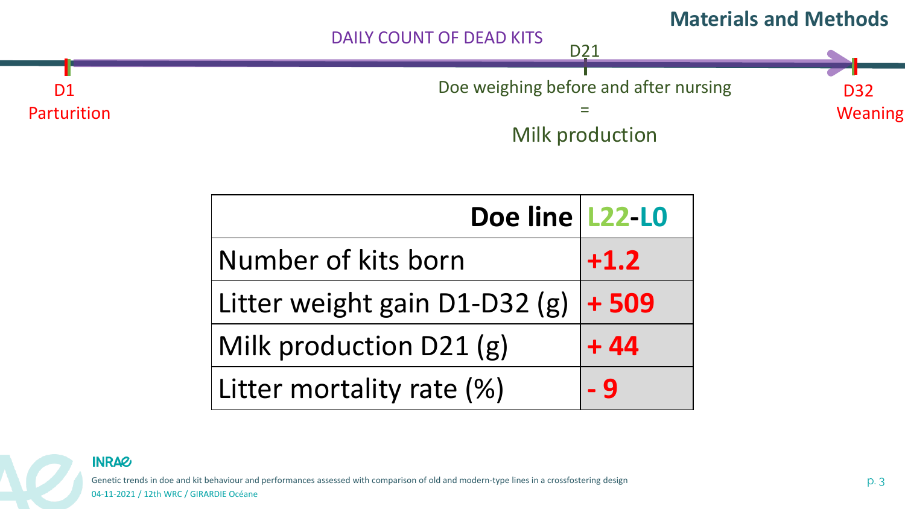



| Doe line L22-L0               |        |  |
|-------------------------------|--------|--|
| Number of kits born           | $+1.2$ |  |
| Litter weight gain D1-D32 (g) | $+509$ |  |
| Milk production D21 (g)       | $+44$  |  |
| Litter mortality rate (%)     | - 9    |  |



Genetic trends in doe and kit behaviour and performances assessed with comparison of old and modern-type lines in a crossfostering design p. 3 and the companies assessed with comparison of old and modern-type lines in a cr 04-11-2021 / 12th WRC / GIRARDIE Océane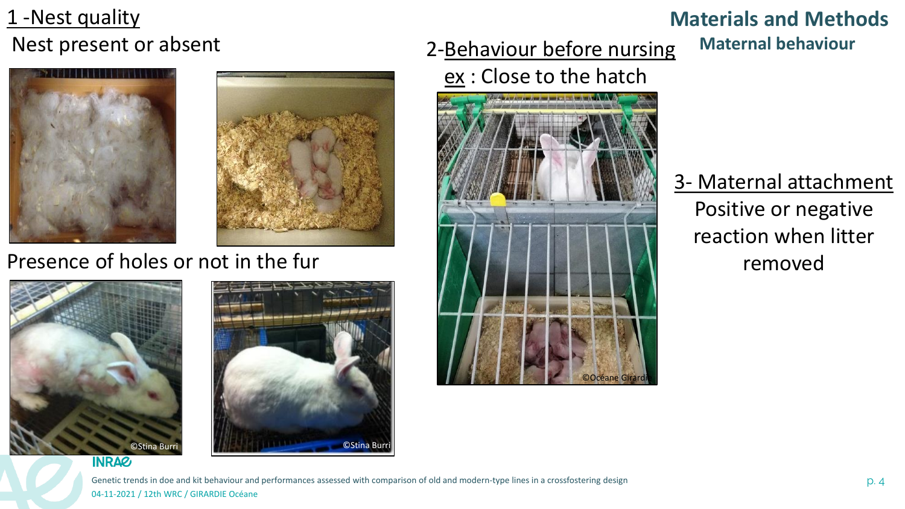## 1 -Nest quality Nest present or absent





## Presence of holes or not in the fur





## 2-Behaviour before nursing

## ex : Close to the hatch



### **Materials and Methods Maternal behaviour**

3- Maternal attachment Positive or negative reaction when litter removed

Genetic trends in doe and kit behaviour and performances assessed with comparison of old and modern-type lines in a crossfostering design p. 4 (2) p. 4 04-11-2021 / 12th WRC / GIRARDIE Océane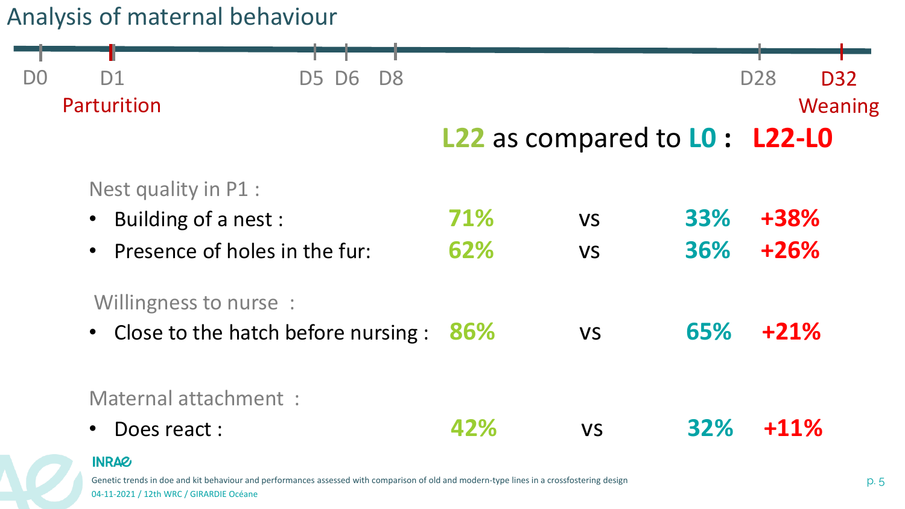## Analysis of maternal behaviour

| D <sub>0</sub>         | D <sub>1</sub>                                                 | <b>D5 D6</b><br>D <sub>8</sub> |           |                                |      | <b>D28</b> | <b>D32</b> |
|------------------------|----------------------------------------------------------------|--------------------------------|-----------|--------------------------------|------|------------|------------|
|                        | Parturition                                                    |                                |           |                                |      |            | Weaning    |
|                        |                                                                |                                |           | L22 as compared to L0 : L22-L0 |      |            |            |
|                        | Nest quality in P1 :                                           |                                |           |                                |      |            |            |
| • Building of a nest : |                                                                | 71%                            | <b>VS</b> | 33%                            | +38% |            |            |
|                        | • Presence of holes in the fur:                                |                                |           | <b>VS</b>                      | 36%  | $+26%$     |            |
|                        | Willingness to nurse:<br>• Close to the hatch before nursing : |                                | 86%       | <b>VS</b>                      | 65%  | $+21%$     |            |
|                        | Maternal attachment :<br>Does react:                           |                                | 42%       | <b>VS</b>                      | 32%  | $+11\%$    |            |

### **INRAG**

Genetic trends in doe and kit behaviour and performances assessed with comparison of old and modern-type lines in a crossfostering design p. 5 p. 5 04-11-2021 / 12th WRC / GIRARDIE Océane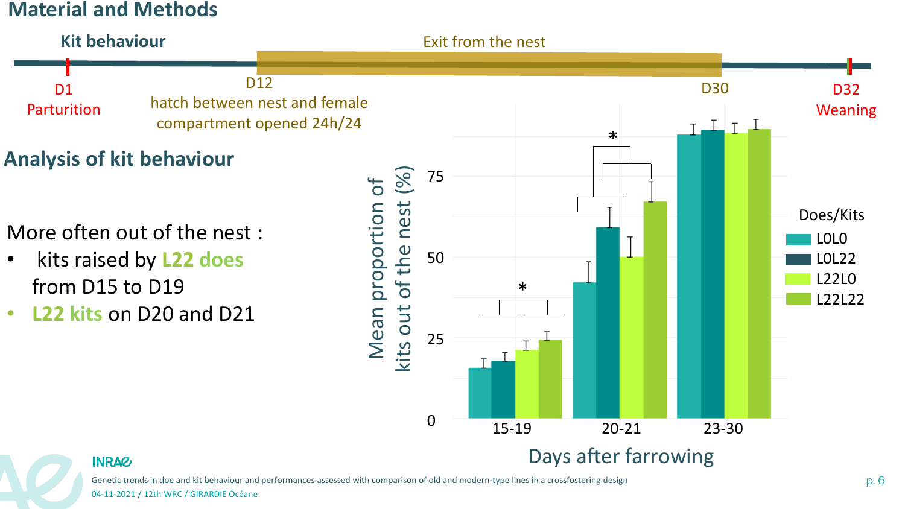### **Material and Methods**



Genetic trends in doe and kit behaviour and performances assessed with comparison of old and modern-type lines in a crossfostering design p. 6 p. 6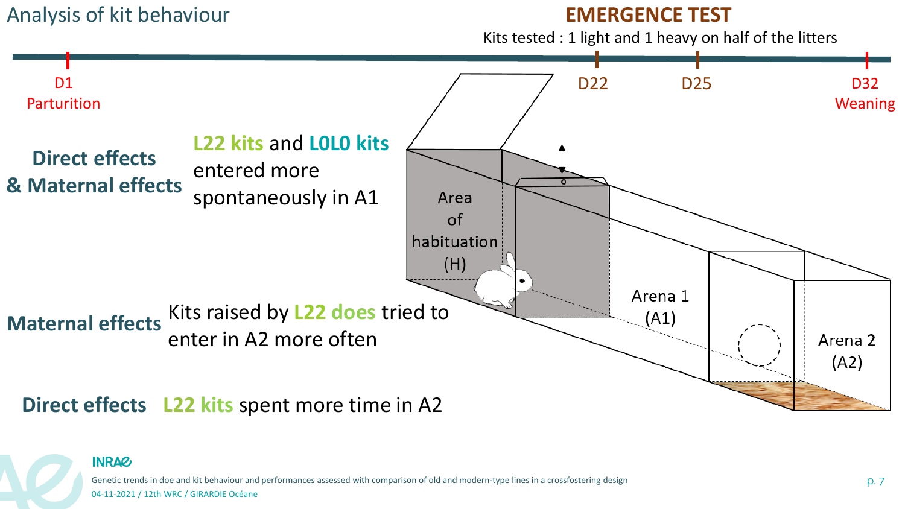### Analysis of kit behaviour

### **EMERGENCE TEST**

Kits tested : 1 light and 1 heavy on half of the litters





Genetic trends in doe and kit behaviour and performances assessed with comparison of old and modern-type lines in a crossfostering design p. 7 and the companies assessed with comparison of old and modern-type lines in a cr 04-11-2021 / 12th WRC / GIRARDIE Océane